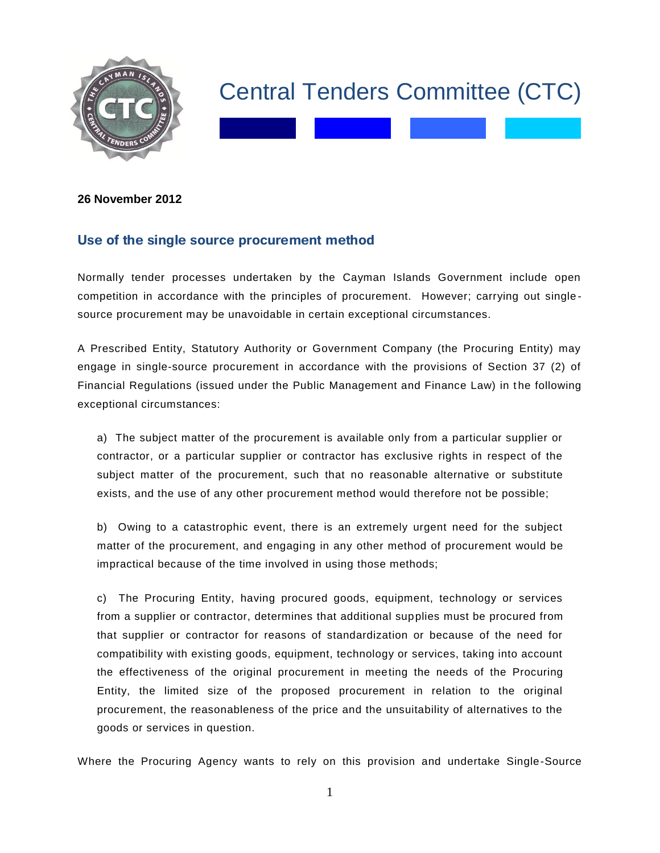

## Central Tenders Committee (CTC)

## **26 November 2012**

## **Use of the single source procurement method**

Normally tender processes undertaken by the Cayman Islands Government include open competition in accordance with the principles of procurement. However; carrying out single source procurement may be unavoidable in certain exceptional circumstances.

A Prescribed Entity, Statutory Authority or Government Company (the Procuring Entity) may engage in single-source procurement in accordance with the provisions of Section 37 (2) of Financial Regulations (issued under the Public Management and Finance Law) in t he following exceptional circumstances:

a) The subject matter of the procurement is available only from a particular supplier or contractor, or a particular supplier or contractor has exclusive rights in respect of the subject matter of the procurement, such that no reasonable alternative or substitute exists, and the use of any other procurement method would therefore not be possible;

b) Owing to a catastrophic event, there is an extremely urgent need for the subject matter of the procurement, and engaging in any other method of procurement would be impractical because of the time involved in using those methods;

c) The Procuring Entity, having procured goods, equipment, technology or services from a supplier or contractor, determines that additional supplies must be procured from that supplier or contractor for reasons of standardization or because of the need for compatibility with existing goods, equipment, technology or services, taking into account the effectiveness of the original procurement in meeting the needs of the Procuring Entity, the limited size of the proposed procurement in relation to the original procurement, the reasonableness of the price and the unsuitability of alternatives to the goods or services in question.

Where the Procuring Agency wants to rely on this provision and undertake Single-Source